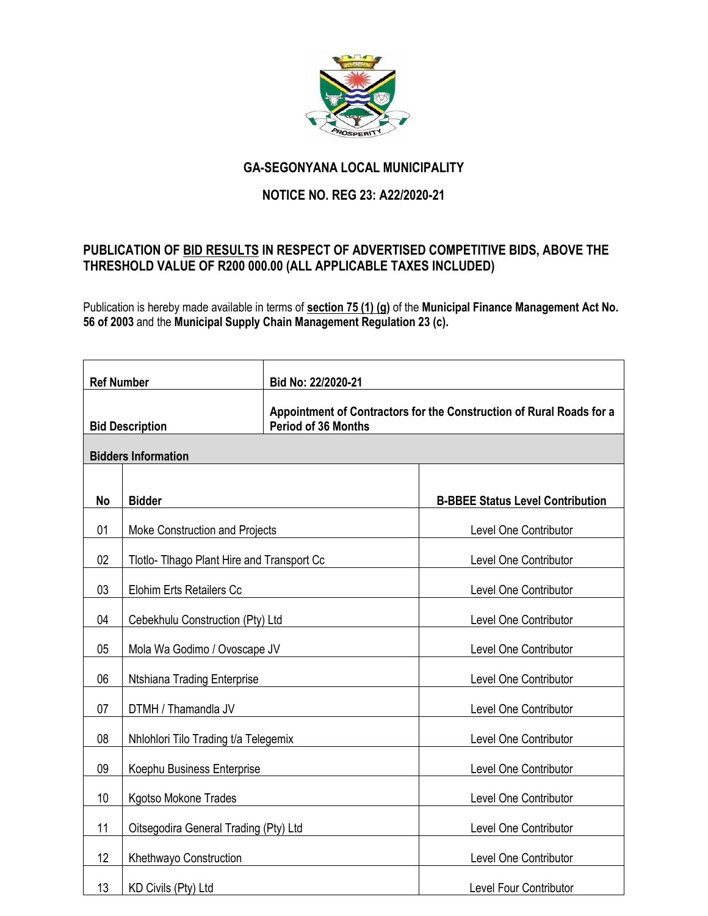

## **GA-SEGONYANA LOCAL MUNICIPALITY**

## **NOTICE NO. REG 23: A22/2020-21**

## **PUBLICATION OF BID RESULTS IN RESPECT OF ADVERTISED COMPETITIVE BIDS, ABOVE THE THRESHOLD VALUE OF R200 000.00 (ALL APPLICABLE TAXES INCLUDED)**

Publication is hereby made available in terms of **section 75 (1) (g)** of the **Municipal Finance Management Act No. 56 of 2003** and the **Municipal Supply Chain Management Regulation 23 (c).** 

| <b>Ref Number</b>          |                                            | Bid No: 22/2020-21                                                                                 |                                         |  |
|----------------------------|--------------------------------------------|----------------------------------------------------------------------------------------------------|-----------------------------------------|--|
| <b>Bid Description</b>     |                                            | Appointment of Contractors for the Construction of Rural Roads for a<br><b>Period of 36 Months</b> |                                         |  |
| <b>Bidders Information</b> |                                            |                                                                                                    |                                         |  |
|                            |                                            |                                                                                                    |                                         |  |
| No                         | <b>Bidder</b>                              |                                                                                                    | <b>B-BBEE Status Level Contribution</b> |  |
| 01                         | Moke Construction and Projects             |                                                                                                    | Level One Contributor                   |  |
| 02                         | Tlotlo- Tlhago Plant Hire and Transport Cc |                                                                                                    | Level One Contributor                   |  |
| 03                         | <b>Elohim Erts Retailers Cc</b>            |                                                                                                    | Level One Contributor                   |  |
| 04                         | Cebekhulu Construction (Pty) Ltd           |                                                                                                    | Level One Contributor                   |  |
| 05                         | Mola Wa Godimo / Ovoscape JV               |                                                                                                    | Level One Contributor                   |  |
| 06                         | Ntshiana Trading Enterprise                |                                                                                                    | Level One Contributor                   |  |
| 07                         | DTMH / Thamandla JV                        |                                                                                                    | Level One Contributor                   |  |
| 08                         | Nhlohlori Tilo Trading t/a Telegemix       |                                                                                                    | Level One Contributor                   |  |
| 09                         | Koephu Business Enterprise                 |                                                                                                    | Level One Contributor                   |  |
| 10                         | <b>Kgotso Mokone Trades</b>                |                                                                                                    | Level One Contributor                   |  |
| 11                         | Oitsegodira General Trading (Pty) Ltd      |                                                                                                    | Level One Contributor                   |  |
| 12                         | Khethwayo Construction                     |                                                                                                    | Level One Contributor                   |  |
| 13                         | KD Civils (Pty) Ltd                        |                                                                                                    | <b>Level Four Contributor</b>           |  |